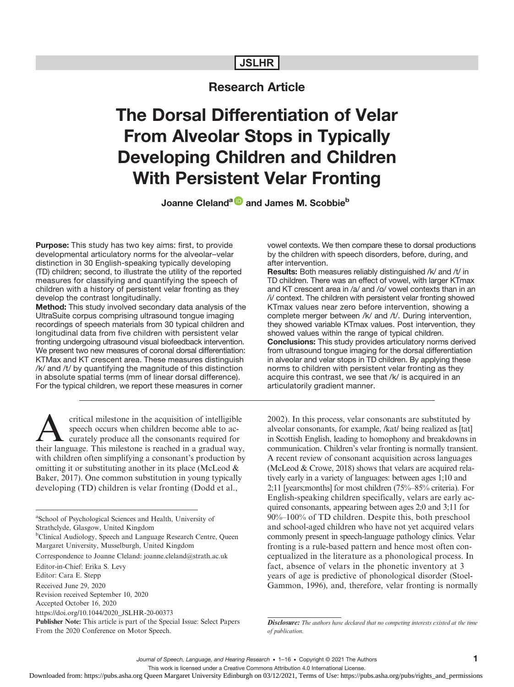# JSLHR

# Research Article

# The Dorsal Differentiation of Velar From Alveolar Stops in Typically Developing Children and Children With Persistent Velar Fronting

Joanne Cleland<sup>a D</sup> and James M. Scobbie<sup>b</sup>

**Purpose:** This study has two key aims: first, to provide developmental articulatory norms for the alveolar–velar distinction in 30 English-speaking typically developing (TD) children; second, to illustrate the utility of the reported measures for classifying and quantifying the speech of children with a history of persistent velar fronting as they develop the contrast longitudinally.

Method: This study involved secondary data analysis of the UltraSuite corpus comprising ultrasound tongue imaging recordings of speech materials from 30 typical children and longitudinal data from five children with persistent velar fronting undergoing ultrasound visual biofeedback intervention. We present two new measures of coronal dorsal differentiation: KTMax and KT crescent area. These measures distinguish /k/ and /t/ by quantifying the magnitude of this distinction in absolute spatial terms (mm of linear dorsal difference). For the typical children, we report these measures in corner

critical milestone in the acquisition of intelligible<br>speech occurs when children become able to ac-<br>curately produce all the consonants required for<br>their language. This milestone is reached in a gradual way speech occurs when children become able to accurately produce all the consonants required for their language. This milestone is reached in a gradual way, with children often simplifying a consonant's production by omitting it or substituting another in its place (McLeod & Baker, 2017). One common substitution in young typically developing (TD) children is velar fronting (Dodd et al.,

a School of Psychological Sciences and Health, University of Strathclyde, Glasgow, United Kingdom

<sup>b</sup>Clinical Audiology, Speech and Language Research Centre, Queen

Margaret University, Musselburgh, United Kingdom

Correspondence to Joanne Cleland: joanne.cleland@strath.ac.uk

vowel contexts. We then compare these to dorsal productions by the children with speech disorders, before, during, and after intervention.

Results: Both measures reliably distinguished /k/ and /t/ in TD children. There was an effect of vowel, with larger KTmax and KT crescent area in /a/ and /o/ vowel contexts than in an /i/ context. The children with persistent velar fronting showed KTmax values near zero before intervention, showing a complete merger between /k/ and /t/. During intervention, they showed variable KTmax values. Post intervention, they showed values within the range of typical children. Conclusions: This study provides articulatory norms derived from ultrasound tongue imaging for the dorsal differentiation in alveolar and velar stops in TD children. By applying these norms to children with persistent velar fronting as they acquire this contrast, we see that /k/ is acquired in an articulatorily gradient manner.

2002). In this process, velar consonants are substituted by alveolar consonants, for example, /kat/ being realized as [tat] in Scottish English, leading to homophony and breakdowns in communication. Children's velar fronting is normally transient. A recent review of consonant acquisition across languages (McLeod & Crowe, 2018) shows that velars are acquired relatively early in a variety of languages: between ages 1;10 and 2;11 [years;months] for most children (75%–85% criteria). For English-speaking children specifically, velars are early acquired consonants, appearing between ages 2;0 and 3;11 for 90%–100% of TD children. Despite this, both preschool and school-aged children who have not yet acquired velars commonly present in speech-language pathology clinics. Velar fronting is a rule-based pattern and hence most often conceptualized in the literature as a phonological process. In fact, absence of velars in the phonetic inventory at 3 years of age is predictive of phonological disorder (Stoel-Gammon, 1996), and, therefore, velar fronting is normally

Disclosure: The authors have declared that no competing interests existed at the time of publication.

This work is licensed under a Creative Commons Attribution 4.0 International License.

Editor-in-Chief: Erika S. Levy

Editor: Cara E. Stepp

Received June 29, 2020 Revision received September 10, 2020

Accepted October 16, 2020

https://doi.org/10.1044/2020\_JSLHR-20-00373

Publisher Note: This article is part of the Special Issue: Select Papers From the 2020 Conference on Motor Speech.

Downloaded from: https://pubs.asha.org Queen Margaret University Edinburgh on 03/12/2021, Terms of Use: https://pubs.asha.org/pubs/rights\_and\_permissions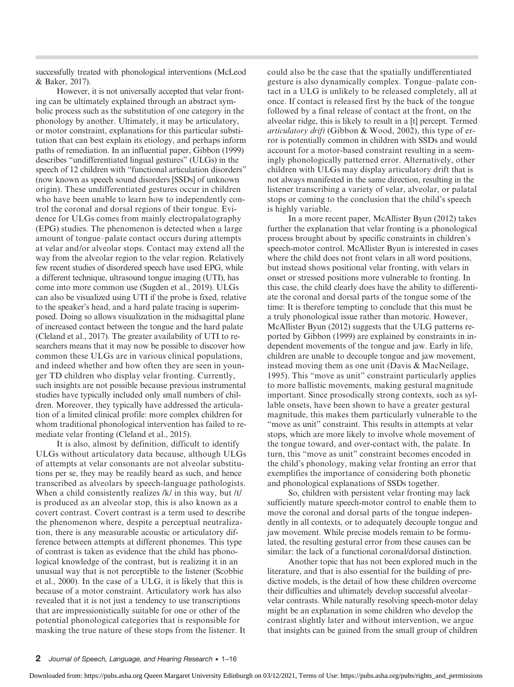successfully treated with phonological interventions (McLeod & Baker, 2017).

However, it is not universally accepted that velar fronting can be ultimately explained through an abstract symbolic process such as the substitution of one category in the phonology by another. Ultimately, it may be articulatory, or motor constraint, explanations for this particular substitution that can best explain its etiology, and perhaps inform paths of remediation. In an influential paper, Gibbon (1999) describes "undifferentiated lingual gestures" (ULGs) in the speech of 12 children with "functional articulation disorders" (now known as speech sound disorders [SSDs] of unknown origin). These undifferentiated gestures occur in children who have been unable to learn how to independently control the coronal and dorsal regions of their tongue. Evidence for ULGs comes from mainly electropalatography (EPG) studies. The phenomenon is detected when a large amount of tongue–palate contact occurs during attempts at velar and/or alveolar stops. Contact may extend all the way from the alveolar region to the velar region. Relatively few recent studies of disordered speech have used EPG, while a different technique, ultrasound tongue imaging (UTI), has come into more common use (Sugden et al., 2019). ULGs can also be visualized using UTI if the probe is fixed, relative to the speaker's head, and a hard palate tracing is superimposed. Doing so allows visualization in the midsagittal plane of increased contact between the tongue and the hard palate (Cleland et al., 2017). The greater availability of UTI to researchers means that it may now be possible to discover how common these ULGs are in various clinical populations, and indeed whether and how often they are seen in younger TD children who display velar fronting. Currently, such insights are not possible because previous instrumental studies have typically included only small numbers of children. Moreover, they typically have addressed the articulation of a limited clinical profile: more complex children for whom traditional phonological intervention has failed to remediate velar fronting (Cleland et al., 2015).

It is also, almost by definition, difficult to identify ULGs without articulatory data because, although ULGs of attempts at velar consonants are not alveolar substitutions per se, they may be readily heard as such, and hence transcribed as alveolars by speech-language pathologists. When a child consistently realizes /k/ in this way, but /t/ is produced as an alveolar stop, this is also known as a covert contrast. Covert contrast is a term used to describe the phenomenon where, despite a perceptual neutralization, there is any measurable acoustic or articulatory difference between attempts at different phonemes. This type of contrast is taken as evidence that the child has phonological knowledge of the contrast, but is realizing it in an unusual way that is not perceptible to the listener (Scobbie et al., 2000). In the case of a ULG, it is likely that this is because of a motor constraint. Articulatory work has also revealed that it is not just a tendency to use transcriptions that are impressionistically suitable for one or other of the potential phonological categories that is responsible for masking the true nature of these stops from the listener. It

could also be the case that the spatially undifferentiated gesture is also dynamically complex. Tongue–palate contact in a ULG is unlikely to be released completely, all at once. If contact is released first by the back of the tongue followed by a final release of contact at the front, on the alveolar ridge, this is likely to result in a [t] percept. Termed articulatory drift (Gibbon & Wood, 2002), this type of error is potentially common in children with SSDs and would account for a motor-based constraint resulting in a seemingly phonologically patterned error. Alternatively, other children with ULGs may display articulatory drift that is not always manifested in the same direction, resulting in the listener transcribing a variety of velar, alveolar, or palatal stops or coming to the conclusion that the child's speech is highly variable.

In a more recent paper, McAllister Byun (2012) takes further the explanation that velar fronting is a phonological process brought about by specific constraints in children's speech-motor control. McAllister Byun is interested in cases where the child does not front velars in all word positions, but instead shows positional velar fronting, with velars in onset or stressed positions more vulnerable to fronting. In this case, the child clearly does have the ability to differentiate the coronal and dorsal parts of the tongue some of the time: It is therefore tempting to conclude that this must be a truly phonological issue rather than motoric. However, McAllister Byun (2012) suggests that the ULG patterns reported by Gibbon (1999) are explained by constraints in independent movements of the tongue and jaw. Early in life, children are unable to decouple tongue and jaw movement, instead moving them as one unit (Davis & MacNeilage, 1995). This "move as unit" constraint particularly applies to more ballistic movements, making gestural magnitude important. Since prosodically strong contexts, such as syllable onsets, have been shown to have a greater gestural magnitude, this makes them particularly vulnerable to the "move as unit" constraint. This results in attempts at velar stops, which are more likely to involve whole movement of the tongue toward, and over-contact with, the palate. In turn, this "move as unit" constraint becomes encoded in the child's phonology, making velar fronting an error that exemplifies the importance of considering both phonetic and phonological explanations of SSDs together.

So, children with persistent velar fronting may lack sufficiently mature speech-motor control to enable them to move the coronal and dorsal parts of the tongue independently in all contexts, or to adequately decouple tongue and jaw movement. While precise models remain to be formulated, the resulting gestural error from these causes can be similar: the lack of a functional coronal/dorsal distinction.

Another topic that has not been explored much in the literature, and that is also essential for the building of predictive models, is the detail of how these children overcome their difficulties and ultimately develop successful alveolar– velar contrasts. While naturally resolving speech-motor delay might be an explanation in some children who develop the contrast slightly later and without intervention, we argue that insights can be gained from the small group of children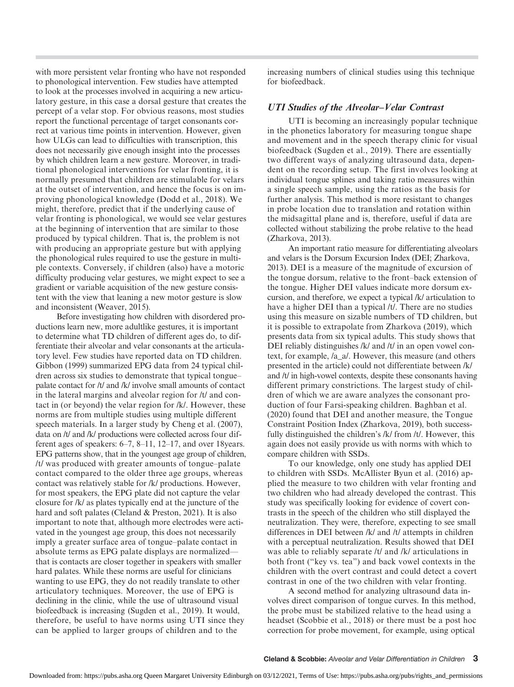with more persistent velar fronting who have not responded to phonological intervention. Few studies have attempted to look at the processes involved in acquiring a new articulatory gesture, in this case a dorsal gesture that creates the percept of a velar stop. For obvious reasons, most studies report the functional percentage of target consonants correct at various time points in intervention. However, given how ULGs can lead to difficulties with transcription, this does not necessarily give enough insight into the processes by which children learn a new gesture. Moreover, in traditional phonological interventions for velar fronting, it is normally presumed that children are stimulable for velars at the outset of intervention, and hence the focus is on improving phonological knowledge (Dodd et al., 2018). We might, therefore, predict that if the underlying cause of velar fronting is phonological, we would see velar gestures at the beginning of intervention that are similar to those produced by typical children. That is, the problem is not with producing an appropriate gesture but with applying the phonological rules required to use the gesture in multiple contexts. Conversely, if children (also) have a motoric difficulty producing velar gestures, we might expect to see a gradient or variable acquisition of the new gesture consistent with the view that leaning a new motor gesture is slow and inconsistent (Weaver, 2015).

Before investigating how children with disordered productions learn new, more adultlike gestures, it is important to determine what TD children of different ages do, to differentiate their alveolar and velar consonants at the articulatory level. Few studies have reported data on TD children. Gibbon (1999) summarized EPG data from 24 typical children across six studies to demonstrate that typical tongue– palate contact for /t/ and /k/ involve small amounts of contact in the lateral margins and alveolar region for /t/ and contact in (or beyond) the velar region for /k/. However, these norms are from multiple studies using multiple different speech materials. In a larger study by Cheng et al. (2007), data on /t/ and /k/ productions were collected across four different ages of speakers: 6–7, 8–11, 12–17, and over 18years. EPG patterns show, that in the youngest age group of children, /t/ was produced with greater amounts of tongue–palate contact compared to the older three age groups, whereas contact was relatively stable for /k/ productions. However, for most speakers, the EPG plate did not capture the velar closure for /k/ as plates typically end at the juncture of the hard and soft palates (Cleland & Preston, 2021). It is also important to note that, although more electrodes were activated in the youngest age group, this does not necessarily imply a greater surface area of tongue–palate contact in absolute terms as EPG palate displays are normalized that is contacts are closer together in speakers with smaller hard palates. While these norms are useful for clinicians wanting to use EPG, they do not readily translate to other articulatory techniques. Moreover, the use of EPG is declining in the clinic, while the use of ultrasound visual biofeedback is increasing (Sugden et al., 2019). It would, therefore, be useful to have norms using UTI since they can be applied to larger groups of children and to the

increasing numbers of clinical studies using this technique for biofeedback.

## UTI Studies of the Alveolar–Velar Contrast

UTI is becoming an increasingly popular technique in the phonetics laboratory for measuring tongue shape and movement and in the speech therapy clinic for visual biofeedback (Sugden et al., 2019). There are essentially two different ways of analyzing ultrasound data, dependent on the recording setup. The first involves looking at individual tongue splines and taking ratio measures within a single speech sample, using the ratios as the basis for further analysis. This method is more resistant to changes in probe location due to translation and rotation within the midsagittal plane and is, therefore, useful if data are collected without stabilizing the probe relative to the head (Zharkova, 2013).

An important ratio measure for differentiating alveolars and velars is the Dorsum Excursion Index (DEI; Zharkova, 2013). DEI is a measure of the magnitude of excursion of the tongue dorsum, relative to the front–back extension of the tongue. Higher DEI values indicate more dorsum excursion, and therefore, we expect a typical /k/ articulation to have a higher DEI than a typical /t/. There are no studies using this measure on sizable numbers of TD children, but it is possible to extrapolate from Zharkova (2019), which presents data from six typical adults. This study shows that DEI reliably distinguishes /k/ and /t/ in an open vowel context, for example, /a\_a/. However, this measure (and others presented in the article) could not differentiate between /k/ and /t/ in high-vowel contexts, despite these consonants having different primary constrictions. The largest study of children of which we are aware analyzes the consonant production of four Farsi-speaking children. Baghban et al. (2020) found that DEI and another measure, the Tongue Constraint Position Index (Zharkova, 2019), both successfully distinguished the children's /k/ from /t/. However, this again does not easily provide us with norms with which to compare children with SSDs.

To our knowledge, only one study has applied DEI to children with SSDs. McAllister Byun et al. (2016) applied the measure to two children with velar fronting and two children who had already developed the contrast. This study was specifically looking for evidence of covert contrasts in the speech of the children who still displayed the neutralization. They were, therefore, expecting to see small differences in DEI between /k/ and /t/ attempts in children with a perceptual neutralization. Results showed that DEI was able to reliably separate /t/ and /k/ articulations in both front ("key vs. tea") and back vowel contexts in the children with the overt contrast and could detect a covert contrast in one of the two children with velar fronting.

A second method for analyzing ultrasound data involves direct comparison of tongue curves. In this method, the probe must be stabilized relative to the head using a headset (Scobbie et al., 2018) or there must be a post hoc correction for probe movement, for example, using optical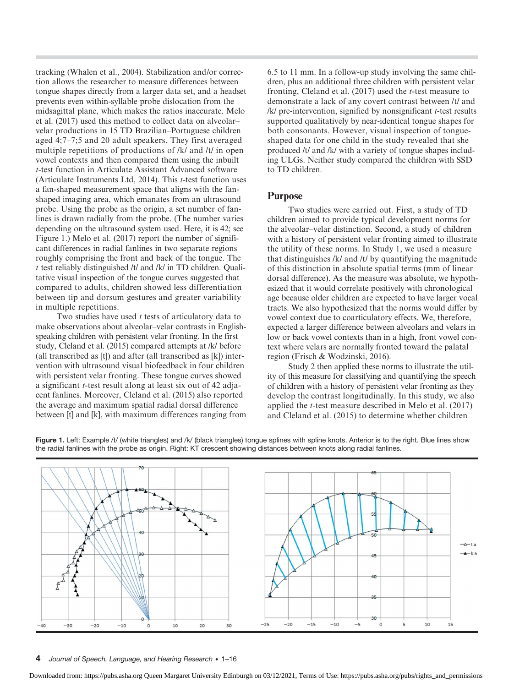tracking (Whalen et al., 2004). Stabilization and/or correction allows the researcher to measure differences between tongue shapes directly from a larger data set, and a headset prevents even within-syllable probe dislocation from the midsagittal plane, which makes the ratios inaccurate. Melo et al. (2017) used this method to collect data on alveolar– velar productions in 15 TD Brazilian–Portuguese children aged 4;7–7;5 and 20 adult speakers. They first averaged multiple repetitions of productions of /k/ and /t/ in open vowel contexts and then compared them using the inbuilt t-test function in Articulate Assistant Advanced software (Articulate Instruments Ltd, 2014). This  $t$ -test function uses a fan-shaped measurement space that aligns with the fanshaped imaging area, which emanates from an ultrasound probe. Using the probe as the origin, a set number of fanlines is drawn radially from the probe. (The number varies depending on the ultrasound system used. Here, it is 42; see Figure 1.) Melo et al. (2017) report the number of significant differences in radial fanlines in two separate regions roughly comprising the front and back of the tongue. The t test reliably distinguished /t/ and /k/ in TD children. Qualitative visual inspection of the tongue curves suggested that compared to adults, children showed less differentiation between tip and dorsum gestures and greater variability in multiple repetitions.

Two studies have used  $t$  tests of articulatory data to make observations about alveolar–velar contrasts in Englishspeaking children with persistent velar fronting. In the first study, Cleland et al. (2015) compared attempts at /k/ before (all transcribed as [t]) and after (all transcribed as [k]) intervention with ultrasound visual biofeedback in four children with persistent velar fronting. These tongue curves showed a significant t-test result along at least six out of 42 adjacent fanlines. Moreover, Cleland et al. (2015) also reported the average and maximum spatial radial dorsal difference between [t] and [k], with maximum differences ranging from 6.5 to 11 mm. In a follow-up study involving the same children, plus an additional three children with persistent velar fronting, Cleland et al.  $(2017)$  used the *t*-test measure to demonstrate a lack of any covert contrast between /t/ and  $/k/$  pre-intervention, signified by nonsignificant  $t$ -test results supported qualitatively by near-identical tongue shapes for both consonants. However, visual inspection of tongueshaped data for one child in the study revealed that she produced /t/ and /k/ with a variety of tongue shapes including ULGs. Neither study compared the children with SSD to TD children.

## Purpose

Two studies were carried out. First, a study of TD children aimed to provide typical development norms for the alveolar–velar distinction. Second, a study of children with a history of persistent velar fronting aimed to illustrate the utility of these norms. In Study 1, we used a measure that distinguishes /k/ and /t/ by quantifying the magnitude of this distinction in absolute spatial terms (mm of linear dorsal difference). As the measure was absolute, we hypothesized that it would correlate positively with chronological age because older children are expected to have larger vocal tracts. We also hypothesized that the norms would differ by vowel context due to coarticulatory effects. We, therefore, expected a larger difference between alveolars and velars in low or back vowel contexts than in a high, front vowel context where velars are normally fronted toward the palatal region (Frisch & Wodzinski, 2016).

Study 2 then applied these norms to illustrate the utility of this measure for classifying and quantifying the speech of children with a history of persistent velar fronting as they develop the contrast longitudinally. In this study, we also applied the t-test measure described in Melo et al. (2017) and Cleland et al. (2015) to determine whether children



Figure 1. Left: Example /t/ (white triangles) and /k/ (black triangles) tongue splines with spline knots. Anterior is to the right. Blue lines show the radial fanlines with the probe as origin. Right: KT crescent showing distances between knots along radial fanlines.

4 Journal of Speech, Language, and Hearing Research • 1–16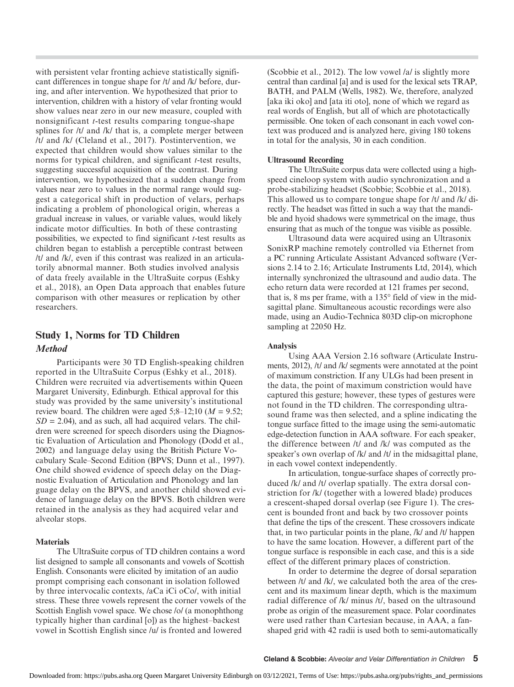with persistent velar fronting achieve statistically significant differences in tongue shape for /t/ and /k/ before, during, and after intervention. We hypothesized that prior to intervention, children with a history of velar fronting would show values near zero in our new measure, coupled with nonsignificant t-test results comparing tongue-shape splines for /t/ and /k/ that is, a complete merger between /t/ and /k/ (Cleland et al., 2017). Postintervention, we expected that children would show values similar to the norms for typical children, and significant *t*-test results, suggesting successful acquisition of the contrast. During intervention, we hypothesized that a sudden change from values near zero to values in the normal range would suggest a categorical shift in production of velars, perhaps indicating a problem of phonological origin, whereas a gradual increase in values, or variable values, would likely indicate motor difficulties. In both of these contrasting possibilities, we expected to find significant  $t$ -test results as children began to establish a perceptible contrast between /t/ and /k/, even if this contrast was realized in an articulatorily abnormal manner. Both studies involved analysis of data freely available in the UltraSuite corpus (Eshky et al., 2018), an Open Data approach that enables future comparison with other measures or replication by other researchers.

## Study 1, Norms for TD Children Method

Participants were 30 TD English-speaking children reported in the UltraSuite Corpus (Eshky et al., 2018). Children were recruited via advertisements within Queen Margaret University, Edinburgh. Ethical approval for this study was provided by the same university's institutional review board. The children were aged 5;8–12;10 ( $M = 9.52$ ;  $SD = 2.04$ ), and as such, all had acquired velars. The children were screened for speech disorders using the Diagnostic Evaluation of Articulation and Phonology (Dodd et al., 2002) and language delay using the British Picture Vocabulary Scale–Second Edition (BPVS; Dunn et al., 1997). One child showed evidence of speech delay on the Diagnostic Evaluation of Articulation and Phonology and lan guage delay on the BPVS, and another child showed evidence of language delay on the BPVS. Both children were retained in the analysis as they had acquired velar and alveolar stops.

#### Materials

The UltraSuite corpus of TD children contains a word list designed to sample all consonants and vowels of Scottish English. Consonants were elicited by imitation of an audio prompt comprising each consonant in isolation followed by three intervocalic contexts, /aCa iCi oCo/, with initial stress. These three vowels represent the corner vowels of the Scottish English vowel space. We chose /o/ (a monophthong typically higher than cardinal [o]) as the highest–backest vowel in Scottish English since /u/ is fronted and lowered

(Scobbie et al., 2012). The low vowel /a/ is slightly more central than cardinal [a] and is used for the lexical sets TRAP, BATH, and PALM (Wells, 1982). We, therefore, analyzed [aka iki oko] and [ata iti oto], none of which we regard as real words of English, but all of which are phototactically permissible. One token of each consonant in each vowel context was produced and is analyzed here, giving 180 tokens in total for the analysis, 30 in each condition.

## Ultrasound Recording

The UltraSuite corpus data were collected using a highspeed cineloop system with audio synchronization and a probe-stabilizing headset (Scobbie; Scobbie et al., 2018). This allowed us to compare tongue shape for /t/ and /k/ directly. The headset was fitted in such a way that the mandible and hyoid shadows were symmetrical on the image, thus ensuring that as much of the tongue was visible as possible.

Ultrasound data were acquired using an Ultrasonix SonixRP machine remotely controlled via Ethernet from a PC running Articulate Assistant Advanced software (Versions 2.14 to 2.16; Articulate Instruments Ltd, 2014), which internally synchronized the ultrasound and audio data. The echo return data were recorded at 121 frames per second, that is, 8 ms per frame, with a 135° field of view in the midsagittal plane. Simultaneous acoustic recordings were also made, using an Audio-Technica 803D clip-on microphone sampling at 22050 Hz.

## Analysis

Using AAA Version 2.16 software (Articulate Instruments, 2012), /t/ and /k/ segments were annotated at the point of maximum constriction. If any ULGs had been present in the data, the point of maximum constriction would have captured this gesture; however, these types of gestures were not found in the TD children. The corresponding ultrasound frame was then selected, and a spline indicating the tongue surface fitted to the image using the semi-automatic edge-detection function in AAA software. For each speaker, the difference between /t/ and /k/ was computed as the speaker's own overlap of /k/ and /t/ in the midsagittal plane, in each vowel context independently.

In articulation, tongue-surface shapes of correctly produced /k/ and /t/ overlap spatially. The extra dorsal constriction for /k/ (together with a lowered blade) produces a crescent-shaped dorsal overlap (see Figure 1). The crescent is bounded front and back by two crossover points that define the tips of the crescent. These crossovers indicate that, in two particular points in the plane, /k/ and /t/ happen to have the same location. However, a different part of the tongue surface is responsible in each case, and this is a side effect of the different primary places of constriction.

In order to determine the degree of dorsal separation between /t/ and /k/, we calculated both the area of the crescent and its maximum linear depth, which is the maximum radial difference of /k/ minus /t/, based on the ultrasound probe as origin of the measurement space. Polar coordinates were used rather than Cartesian because, in AAA, a fanshaped grid with 42 radii is used both to semi-automatically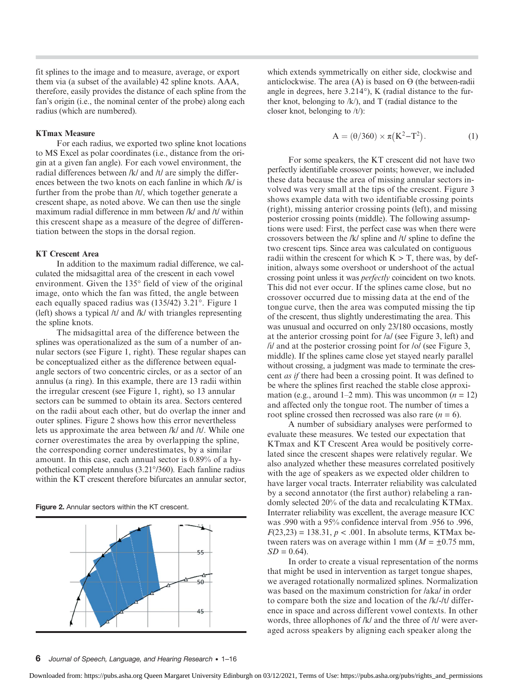fit splines to the image and to measure, average, or export them via (a subset of the available) 42 spline knots. AAA, therefore, easily provides the distance of each spline from the fan's origin (i.e., the nominal center of the probe) along each radius (which are numbered).

### KTmax Measure

For each radius, we exported two spline knot locations to MS Excel as polar coordinates (i.e., distance from the origin at a given fan angle). For each vowel environment, the radial differences between /k/ and /t/ are simply the differences between the two knots on each fanline in which /k/ is further from the probe than /t/, which together generate a crescent shape, as noted above. We can then use the single maximum radial difference in mm between /k/ and /t/ within this crescent shape as a measure of the degree of differentiation between the stops in the dorsal region.

#### KT Crescent Area

In addition to the maximum radial difference, we calculated the midsagittal area of the crescent in each vowel environment. Given the 135° field of view of the original image, onto which the fan was fitted, the angle between each equally spaced radius was (135/42) 3.21°. Figure 1 (left) shows a typical /t/ and /k/ with triangles representing the spline knots.

The midsagittal area of the difference between the splines was operationalized as the sum of a number of annular sectors (see Figure 1, right). These regular shapes can be conceptualized either as the difference between equalangle sectors of two concentric circles, or as a sector of an annulus (a ring). In this example, there are 13 radii within the irregular crescent (see Figure 1, right), so 13 annular sectors can be summed to obtain its area. Sectors centered on the radii about each other, but do overlap the inner and outer splines. Figure 2 shows how this error nevertheless lets us approximate the area between /k/ and /t/. While one corner overestimates the area by overlapping the spline, the corresponding corner underestimates, by a similar amount. In this case, each annual sector is 0.89% of a hypothetical complete annulus (3.21°/360). Each fanline radius within the KT crescent therefore bifurcates an annular sector,

Figure 2. Annular sectors within the KT crescent.



which extends symmetrically on either side, clockwise and anticlockwise. The area  $(A)$  is based on  $\Theta$  (the between-radii angle in degrees, here 3.214°), K (radial distance to the further knot, belonging to /k/), and T (radial distance to the closer knot, belonging to /t/):

$$
A = (\theta/360) \times \pi (K^2 - T^2). \tag{1}
$$

For some speakers, the KT crescent did not have two perfectly identifiable crossover points; however, we included these data because the area of missing annular sectors involved was very small at the tips of the crescent. Figure 3 shows example data with two identifiable crossing points (right), missing anterior crossing points (left), and missing posterior crossing points (middle). The following assumptions were used: First, the perfect case was when there were crossovers between the /k/ spline and /t/ spline to define the two crescent tips. Since area was calculated on contiguous radii within the crescent for which  $K > T$ , there was, by definition, always some overshoot or undershoot of the actual crossing point unless it was perfectly coincident on two knots. This did not ever occur. If the splines came close, but no crossover occurred due to missing data at the end of the tongue curve, then the area was computed missing the tip of the crescent, thus slightly underestimating the area. This was unusual and occurred on only 23/180 occasions, mostly at the anterior crossing point for /a/ (see Figure 3, left) and /i/ and at the posterior crossing point for /o/ (see Figure 3, middle). If the splines came close yet stayed nearly parallel without crossing, a judgment was made to terminate the crescent as if there had been a crossing point. It was defined to be where the splines first reached the stable close approximation (e.g., around 1–2 mm). This was uncommon ( $n = 12$ ) and affected only the tongue root. The number of times a root spline crossed then recrossed was also rare  $(n = 6)$ .

A number of subsidiary analyses were performed to evaluate these measures. We tested our expectation that KTmax and KT Crescent Area would be positively correlated since the crescent shapes were relatively regular. We also analyzed whether these measures correlated positively with the age of speakers as we expected older children to have larger vocal tracts. Interrater reliability was calculated by a second annotator (the first author) relabeling a randomly selected 20% of the data and recalculating KTMax. Interrater reliability was excellent, the average measure ICC was .990 with a 95% confidence interval from .956 to .996,  $F(23,23) = 138.31, p < .001$ . In absolute terms, KTMax between raters was on average within 1 mm ( $M = \pm 0.75$  mm,  $SD = 0.64$ .

In order to create a visual representation of the norms that might be used in intervention as target tongue shapes, we averaged rotationally normalized splines. Normalization was based on the maximum constriction for /aka/ in order to compare both the size and location of the /k/-/t/ difference in space and across different vowel contexts. In other words, three allophones of /k/ and the three of /t/ were averaged across speakers by aligning each speaker along the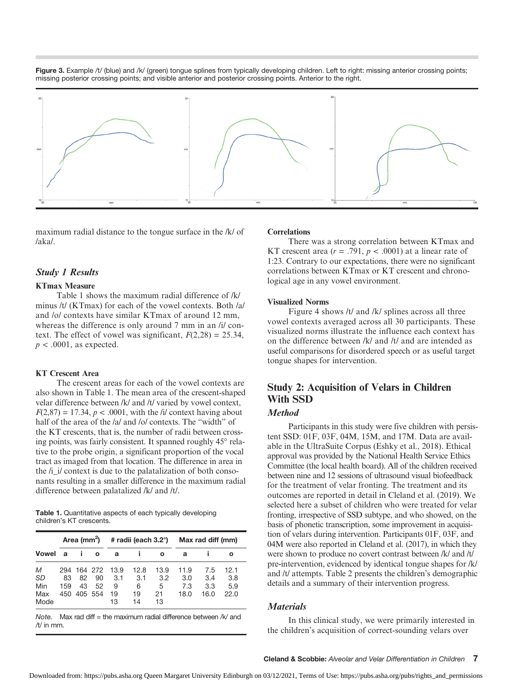Figure 3. Example /t/ (blue) and /k/ (green) tongue splines from typically developing children. Left to right: missing anterior crossing points; missing posterior crossing points; and visible anterior and posterior crossing points. Anterior to the right.



maximum radial distance to the tongue surface in the /k/ of /aka/.

## Study 1 Results

## KTmax Measure

Table 1 shows the maximum radial difference of /k/ minus /t/ (KTmax) for each of the vowel contexts. Both /a/ and /o/ contexts have similar KTmax of around 12 mm, whereas the difference is only around 7 mm in an /i/ context. The effect of vowel was significant,  $F(2,28) = 25.34$ ,  $p < .0001$ , as expected.

#### KT Crescent Area

The crescent areas for each of the vowel contexts are also shown in Table 1. The mean area of the crescent-shaped velar difference between /k/ and /t/ varied by vowel context,  $F(2,87) = 17.34$ ,  $p < .0001$ , with the *li/* context having about half of the area of the /a/ and /o/ contexts. The "width" of the KT crescents, that is, the number of radii between crossing points, was fairly consistent. It spanned roughly 45° relative to the probe origin, a significant proportion of the vocal tract as imaged from that location. The difference in area in the  $/i$  *i* context is due to the palatalization of both consonants resulting in a smaller difference in the maximum radial difference between palatalized /k/ and /t/.

Table 1. Quantitative aspects of each typically developing children's KT crescents.

|                               | Area (mm <sup>2</sup> ) |                                    |          |                              | # radii (each 3.2°)          |                              | Max rad diff (mm)          |                           |                            |
|-------------------------------|-------------------------|------------------------------------|----------|------------------------------|------------------------------|------------------------------|----------------------------|---------------------------|----------------------------|
| <b>Vowel</b>                  | a                       |                                    | O        | a                            |                              | $\mathbf o$                  | a                          |                           | ο                          |
| M<br>SD<br>Min<br>Max<br>Mode | 83<br>159<br>450        | 294 164 272<br>82<br>43<br>405 554 | 90<br>52 | 13.9<br>3.1<br>9<br>19<br>13 | 12.8<br>3.1<br>6<br>19<br>14 | 13.9<br>3.2<br>5<br>21<br>13 | 11.9<br>3.0<br>7.3<br>18.0 | 7.5<br>3.4<br>3.3<br>16.0 | 12.1<br>3.8<br>5.9<br>22.0 |

Note. Max rad diff = the maximum radial difference between  $/k$  and /t/ in mm.

#### **Correlations**

There was a strong correlation between KTmax and KT crescent area  $(r = .791, p < .0001)$  at a linear rate of 1:23. Contrary to our expectations, there were no significant correlations between KTmax or KT crescent and chronological age in any vowel environment.

#### Visualized Norms

Figure 4 shows /t/ and /k/ splines across all three vowel contexts averaged across all 30 participants. These visualized norms illustrate the influence each context has on the difference between /k/ and /t/ and are intended as useful comparisons for disordered speech or as useful target tongue shapes for intervention.

# Study 2: Acquisition of Velars in Children With SSD

## **Method**

Participants in this study were five children with persistent SSD: 01F, 03F, 04M, 15M, and 17M. Data are available in the UltraSuite Corpus (Eshky et al., 2018). Ethical approval was provided by the National Health Service Ethics Committee (the local health board). All of the children received between nine and 12 sessions of ultrasound visual biofeedback for the treatment of velar fronting. The treatment and its outcomes are reported in detail in Cleland et al. (2019). We selected here a subset of children who were treated for velar fronting, irrespective of SSD subtype, and who showed, on the basis of phonetic transcription, some improvement in acquisition of velars during intervention. Participants 01F, 03F, and 04M were also reported in Cleland et al. (2017), in which they were shown to produce no covert contrast between /k/ and /t/ pre-intervention, evidenced by identical tongue shapes for /k/ and /t/ attempts. Table 2 presents the children's demographic details and a summary of their intervention progress.

## **Materials**

In this clinical study, we were primarily interested in the children's acquisition of correct-sounding velars over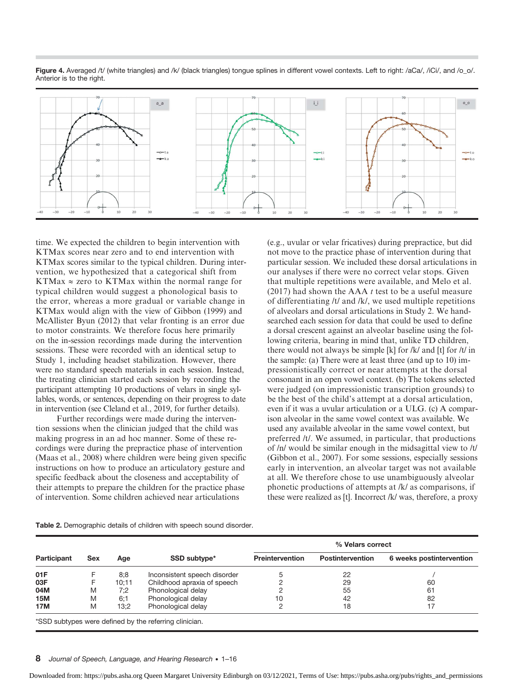

Figure 4. Averaged /t/ (white triangles) and /k/ (black triangles) tongue splines in different vowel contexts. Left to right: /aCa/, /iCi/, and /o\_o/. Anterior is to the right.

time. We expected the children to begin intervention with KTMax scores near zero and to end intervention with KTMax scores similar to the typical children. During intervention, we hypothesized that a categorical shift from KTMax  $\approx$  zero to KTMax within the normal range for typical children would suggest a phonological basis to the error, whereas a more gradual or variable change in KTMax would align with the view of Gibbon (1999) and McAllister Byun (2012) that velar fronting is an error due to motor constraints. We therefore focus here primarily on the in-session recordings made during the intervention sessions. These were recorded with an identical setup to Study 1, including headset stabilization. However, there were no standard speech materials in each session. Instead, the treating clinician started each session by recording the participant attempting 10 productions of velars in single syllables, words, or sentences, depending on their progress to date in intervention (see Cleland et al., 2019, for further details).

Further recordings were made during the intervention sessions when the clinician judged that the child was making progress in an ad hoc manner. Some of these recordings were during the prepractice phase of intervention (Maas et al., 2008) where children were being given specific instructions on how to produce an articulatory gesture and specific feedback about the closeness and acceptability of their attempts to prepare the children for the practice phase of intervention. Some children achieved near articulations

(e.g., uvular or velar fricatives) during prepractice, but did not move to the practice phase of intervention during that particular session. We included these dorsal articulations in our analyses if there were no correct velar stops. Given that multiple repetitions were available, and Melo et al. (2017) had shown the AAA  $t$  test to be a useful measure of differentiating /t/ and /k/, we used multiple repetitions of alveolars and dorsal articulations in Study 2. We handsearched each session for data that could be used to define a dorsal crescent against an alveolar baseline using the following criteria, bearing in mind that, unlike TD children, there would not always be simple [k] for /k/ and [t] for /t/ in the sample: (a) There were at least three (and up to 10) impressionistically correct or near attempts at the dorsal consonant in an open vowel context. (b) The tokens selected were judged (on impressionistic transcription grounds) to be the best of the child's attempt at a dorsal articulation, even if it was a uvular articulation or a ULG. (c) A comparison alveolar in the same vowel context was available. We used any available alveolar in the same vowel context, but preferred /t/. We assumed, in particular, that productions of /n/ would be similar enough in the midsagittal view to /t/ (Gibbon et al., 2007). For some sessions, especially sessions early in intervention, an alveolar target was not available at all. We therefore chose to use unambiguously alveolar phonetic productions of attempts at /k/ as comparisons, if these were realized as [t]. Incorrect /k/ was, therefore, a proxy

|  | Table 2. Demographic details of children with speech sound disorder. |  |  |  |  |  |  |  |
|--|----------------------------------------------------------------------|--|--|--|--|--|--|--|
|--|----------------------------------------------------------------------|--|--|--|--|--|--|--|

|             |     |       |                              | % Velars correct       |                         |                          |  |  |  |
|-------------|-----|-------|------------------------------|------------------------|-------------------------|--------------------------|--|--|--|
| Participant | Sex | Age   | SSD subtype*                 | <b>Preintervention</b> | <b>Postintervention</b> | 6 weeks postintervention |  |  |  |
| 01F         |     | 8:8   | Inconsistent speech disorder |                        | 22                      |                          |  |  |  |
| 03F         |     | 10:11 | Childhood apraxia of speech  |                        | 29                      | 60                       |  |  |  |
| 04M         | M   | 7:2   | Phonological delay           |                        | 55                      | 61                       |  |  |  |
| <b>15M</b>  | M   | 6:1   | Phonological delay           | 10                     | 42                      | 82                       |  |  |  |
| 17M         | M   | 13:2  | Phonological delay           |                        | 18                      | 17                       |  |  |  |

8 Journal of Speech, Language, and Hearing Research • 1–16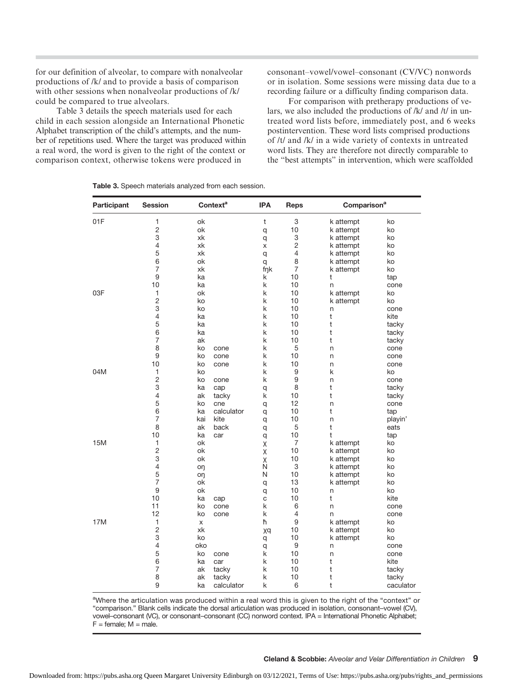for our definition of alveolar, to compare with nonalveolar productions of /k/ and to provide a basis of comparison with other sessions when nonalveolar productions of /k/ could be compared to true alveolars.

Table 3 details the speech materials used for each child in each session alongside an International Phonetic Alphabet transcription of the child's attempts, and the number of repetitions used. Where the target was produced within a real word, the word is given to the right of the context or comparison context, otherwise tokens were produced in

consonant–vowel/vowel–consonant (CV/VC) nonwords or in isolation. Some sessions were missing data due to a recording failure or a difficulty finding comparison data.

For comparison with pretherapy productions of velars, we also included the productions of /k/ and /t/ in untreated word lists before, immediately post, and 6 weeks postintervention. These word lists comprised productions of /t/ and /k/ in a wide variety of contexts in untreated word lists. They are therefore not directly comparable to the "best attempts" in intervention, which were scaffolded

| Participant | <b>Session</b>     | <b>Context<sup>a</sup></b> |             | <b>IPA</b> | Reps           | Comparison <sup>a</sup> |              |  |
|-------------|--------------------|----------------------------|-------------|------------|----------------|-------------------------|--------------|--|
| 01F         | 1                  | ok                         |             | t          | 3              | k attempt               | ko           |  |
|             | $\overline{c}$     | ok                         |             | q          | 10             | k attempt               | ko           |  |
|             | 3                  | xk                         |             | q          | 3              | k attempt               | ko           |  |
|             | $\overline{4}$     | xk                         |             | X          | $\overline{c}$ | k attempt               | ko           |  |
|             | 5                  | xk                         |             | q          | 4              | k attempt               | ko           |  |
|             | 6                  | ok                         |             | q          | 8              | k attempt               | ko           |  |
|             | $\overline{7}$     | xk                         |             | fnk        | $\overline{7}$ | k attempt               | ko           |  |
|             | 9                  | ka                         |             | k          | 10             | t                       | tap          |  |
|             | 10                 | ka                         |             | k          | 10             | n                       | cone         |  |
| 03F         | 1                  | ok                         |             | k          | 10             | k attempt               | ko           |  |
|             | $\overline{c}$     | ko                         |             | k          | 10             | k attempt               | ko           |  |
|             | 3                  | ko                         |             | k          | 10             | n                       | cone         |  |
|             | 4                  | ka                         |             | k          | 10             | t                       | kite         |  |
|             | 5                  | ka                         |             | k          | 10             | t                       | tacky        |  |
|             | 6                  | ka                         |             | k          | 10             | t                       | tacky        |  |
|             | $\overline{7}$     | ak                         |             | k          | 10             | t                       | tacky        |  |
|             | 8                  | ko                         | cone        | k          | 5              | n                       | cone         |  |
|             | 9                  | ko                         | cone        | k          | 10             | n                       | cone         |  |
|             | 10                 | ko                         | cone        | k          | 10             | n                       | cone         |  |
| 04M         | 1                  | ko                         |             | k          | 9              | k                       | ko           |  |
|             | $\overline{c}$     | ko                         | cone        | k          | 9              | n                       | cone         |  |
|             | 3                  | ka                         | cap         | q          | 8              | t                       | tacky        |  |
|             | $\overline{4}$     | ak                         | tacky       | k          | 10             | t                       | tacky        |  |
|             | 5                  | ko                         | cne         | q          | 12             | n                       | cone         |  |
|             | 6                  | ka                         | calculator  | q          | 10             | t                       | tap          |  |
|             | 7                  | kai                        | kite        | q          | 10             | n                       | playin'      |  |
|             | 8                  | ak                         | back        | q          | 5              | t                       | eats         |  |
|             | 10                 | ka                         | car         | q          | 10             | t                       | tap          |  |
| 15M         | $\mathbf{1}$       | ok                         |             | Χ          | $\overline{7}$ | k attempt               | ko           |  |
|             | $\overline{c}$     | ok                         |             | Χ          | 10             | k attempt               | ko           |  |
|             | 3                  | ok                         |             | Χ          | 10             | k attempt               | ko           |  |
|             | $\overline{4}$     | oη                         |             | N          | 3              | k attempt               | ko           |  |
|             | 5                  | oη                         |             | N          | 10             | k attempt               | ko           |  |
|             | $\overline{7}$     | ok                         |             | q          | 13             | k attempt               | ko           |  |
|             | 9                  | ok                         |             | q          | 10             | n                       | ko           |  |
|             | 10                 | ka                         | cap         | C          | 10             | t                       | kite         |  |
|             | 11                 | ko                         | cone        | k          | 6              | n                       | cone         |  |
|             | 12<br>$\mathbf{1}$ | ko                         | cone        | k          | 4              | n                       | cone         |  |
| 17M         | $\overline{c}$     | X                          |             | ħ          | 9              | k attempt               | ko           |  |
|             | 3                  | xk                         |             | χq         | 10<br>10       | k attempt               | ko           |  |
|             | 4                  | ko<br>oko                  |             | q          | 9              | k attempt               | ko           |  |
|             |                    |                            |             | q          |                | n                       | cone         |  |
|             | 5<br>6             | ko<br>ka                   | cone<br>car | k<br>k     | 10<br>10       | n<br>t                  | cone<br>kite |  |
|             | $\overline{7}$     | ak                         | tacky       | k          | 10             | t                       | tacky        |  |
|             | 8                  | ak                         | tacky       | k          | 10             | t                       | tacky        |  |
|             | 9                  | ka                         | calculator  | k          | 6              | t                       | caculator    |  |

Table 3. Speech materials analyzed from each session.

aWhere the articulation was produced within a real word this is given to the right of the "context" or "comparison." Blank cells indicate the dorsal articulation was produced in isolation, consonant–vowel (CV), vowel–consonant (VC), or consonant–consonant (CC) nonword context. IPA = International Phonetic Alphabet;  $F =$  female;  $M =$  male.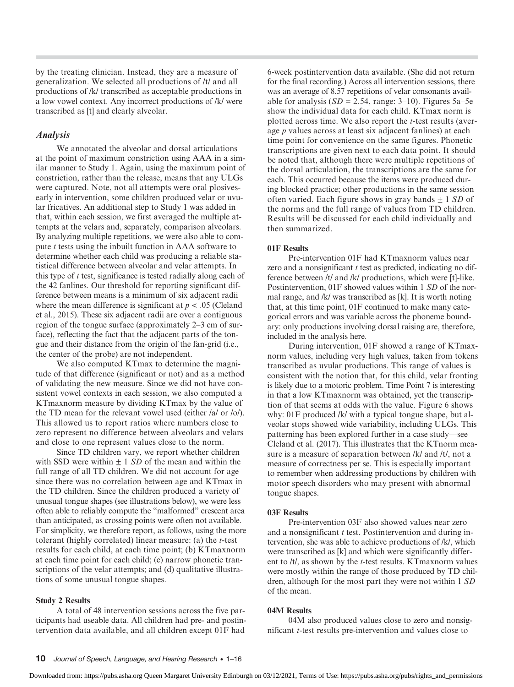by the treating clinician. Instead, they are a measure of generalization. We selected all productions of /t/ and all productions of /k/ transcribed as acceptable productions in a low vowel context. Any incorrect productions of /k/ were transcribed as [t] and clearly alveolar.

## Analysis

We annotated the alveolar and dorsal articulations at the point of maximum constriction using AAA in a similar manner to Study 1. Again, using the maximum point of constriction, rather than the release, means that any ULGs were captured. Note, not all attempts were oral plosivesearly in intervention, some children produced velar or uvular fricatives. An additional step to Study 1 was added in that, within each session, we first averaged the multiple attempts at the velars and, separately, comparison alveolars. By analyzing multiple repetitions, we were also able to compute  $t$  tests using the inbuilt function in AAA software to determine whether each child was producing a reliable statistical difference between alveolar and velar attempts. In this type of  $t$  test, significance is tested radially along each of the 42 fanlines. Our threshold for reporting significant difference between means is a minimum of six adjacent radii where the mean difference is significant at  $p < .05$  (Cleland et al., 2015). These six adjacent radii are over a contiguous region of the tongue surface (approximately 2–3 cm of surface), reflecting the fact that the adjacent parts of the tongue and their distance from the origin of the fan-grid (i.e., the center of the probe) are not independent.

We also computed KTmax to determine the magnitude of that difference (significant or not) and as a method of validating the new measure. Since we did not have consistent vowel contexts in each session, we also computed a KTmaxnorm measure by dividing KTmax by the value of the TD mean for the relevant vowel used (either /a/ or /o/). This allowed us to report ratios where numbers close to zero represent no difference between alveolars and velars and close to one represent values close to the norm.

Since TD children vary, we report whether children with SSD were within  $\pm$  1 SD of the mean and within the full range of all TD children. We did not account for age since there was no correlation between age and KTmax in the TD children. Since the children produced a variety of unusual tongue shapes (see illustrations below), we were less often able to reliably compute the "malformed" crescent area than anticipated, as crossing points were often not available. For simplicity, we therefore report, as follows, using the more tolerant (highly correlated) linear measure: (a) the t-test results for each child, at each time point; (b) KTmaxnorm at each time point for each child; (c) narrow phonetic transcriptions of the velar attempts; and (d) qualitative illustrations of some unusual tongue shapes.

#### Study 2 Results

A total of 48 intervention sessions across the five participants had useable data. All children had pre- and postintervention data available, and all children except 01F had

6-week postintervention data available. (She did not return for the final recording.) Across all intervention sessions, there was an average of 8.57 repetitions of velar consonants available for analysis  $(SD = 2.54$ , range: 3–10). Figures 5a–5e show the individual data for each child. KTmax norm is plotted across time. We also report the  $t$ -test results (average p values across at least six adjacent fanlines) at each time point for convenience on the same figures. Phonetic transcriptions are given next to each data point. It should be noted that, although there were multiple repetitions of the dorsal articulation, the transcriptions are the same for each. This occurred because the items were produced during blocked practice; other productions in the same session often varied. Each figure shows in gray bands  $\pm$  1 SD of the norms and the full range of values from TD children. Results will be discussed for each child individually and then summarized.

## 01F Results

Pre-intervention 01F had KTmaxnorm values near zero and a nonsignificant  $t$  test as predicted, indicating no difference between /t/ and /k/ productions, which were [t]-like. Postintervention, 01F showed values within 1 SD of the normal range, and /k/ was transcribed as [k]. It is worth noting that, at this time point, 01F continued to make many categorical errors and was variable across the phoneme boundary: only productions involving dorsal raising are, therefore, included in the analysis here.

During intervention, 01F showed a range of KTmaxnorm values, including very high values, taken from tokens transcribed as uvular productions. This range of values is consistent with the notion that, for this child, velar fronting is likely due to a motoric problem. Time Point 7 is interesting in that a low KTmaxnorm was obtained, yet the transcription of that seems at odds with the value. Figure 6 shows why: 01F produced /k/ with a typical tongue shape, but alveolar stops showed wide variability, including ULGs. This patterning has been explored further in a case study—see Cleland et al. (2017). This illustrates that the KTnorm measure is a measure of separation between /k/ and /t/, not a measure of correctness per se. This is especially important to remember when addressing productions by children with motor speech disorders who may present with abnormal tongue shapes.

#### 03F Results

Pre-intervention 03F also showed values near zero and a nonsignificant  $t$  test. Postintervention and during intervention, she was able to achieve productions of /k/, which were transcribed as [k] and which were significantly different to /t/, as shown by the t-test results. KTmaxnorm values were mostly within the range of those produced by TD children, although for the most part they were not within 1 SD of the mean.

#### 04M Results

04M also produced values close to zero and nonsignificant t-test results pre-intervention and values close to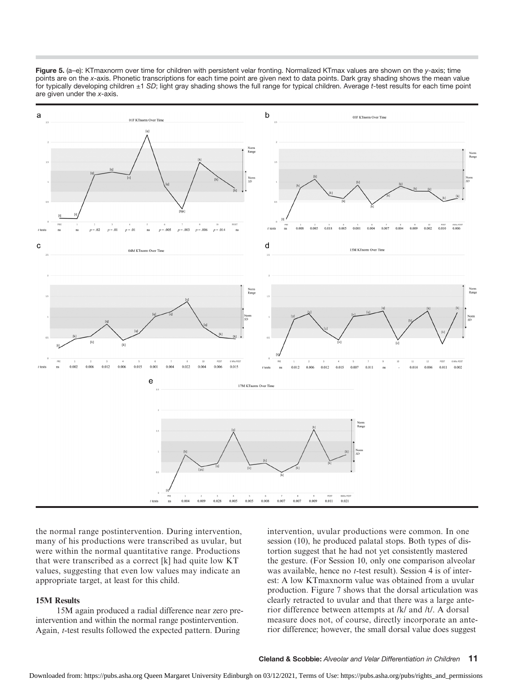

Figure 5. (a-e): KTmaxnorm over time for children with persistent velar fronting. Normalized KTmax values are shown on the y-axis; time points are on the x-axis. Phonetic transcriptions for each time point are given next to data points. Dark gray shading shows the mean value for typically developing children ±1 SD; light gray shading shows the full range for typical children. Average t-test results for each time point are given under the x-axis.

the normal range postintervention. During intervention, many of his productions were transcribed as uvular, but were within the normal quantitative range. Productions that were transcribed as a correct [k] had quite low KT values, suggesting that even low values may indicate an appropriate target, at least for this child.

## 15M Results

15M again produced a radial difference near zero preintervention and within the normal range postintervention. Again, t-test results followed the expected pattern. During

intervention, uvular productions were common. In one session (10), he produced palatal stops. Both types of distortion suggest that he had not yet consistently mastered the gesture. (For Session 10, only one comparison alveolar was available, hence no *t*-test result). Session 4 is of interest: A low KTmaxnorm value was obtained from a uvular production. Figure 7 shows that the dorsal articulation was clearly retracted to uvular and that there was a large anterior difference between attempts at /k/ and /t/. A dorsal measure does not, of course, directly incorporate an anterior difference; however, the small dorsal value does suggest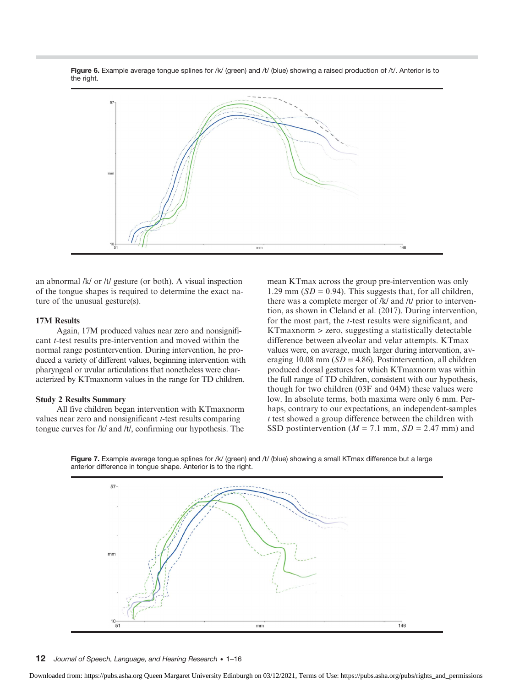Figure 6. Example average tongue splines for /k/ (green) and /t/ (blue) showing a raised production of /t/. Anterior is to the right.



an abnormal /k/ or /t/ gesture (or both). A visual inspection of the tongue shapes is required to determine the exact nature of the unusual gesture(s).

## 17M Results

Again, 17M produced values near zero and nonsignificant t-test results pre-intervention and moved within the normal range postintervention. During intervention, he produced a variety of different values, beginning intervention with pharyngeal or uvular articulations that nonetheless were characterized by KTmaxnorm values in the range for TD children.

### Study 2 Results Summary

All five children began intervention with KTmaxnorm values near zero and nonsignificant t-test results comparing tongue curves for /k/ and /t/, confirming our hypothesis. The

mean KTmax across the group pre-intervention was only 1.29 mm ( $SD = 0.94$ ). This suggests that, for all children, there was a complete merger of /k/ and /t/ prior to intervention, as shown in Cleland et al. (2017). During intervention, for the most part, the t-test results were significant, and KTmaxnorm > zero, suggesting a statistically detectable difference between alveolar and velar attempts. KTmax values were, on average, much larger during intervention, averaging 10.08 mm ( $SD = 4.86$ ). Postintervention, all children produced dorsal gestures for which KTmaxnorm was within the full range of TD children, consistent with our hypothesis, though for two children (03F and 04M) these values were low. In absolute terms, both maxima were only 6 mm. Perhaps, contrary to our expectations, an independent-samples t test showed a group difference between the children with SSD postintervention ( $M = 7.1$  mm,  $SD = 2.47$  mm) and



Figure 7. Example average tongue splines for /k/ (green) and /t/ (blue) showing a small KTmax difference but a large anterior difference in tongue shape. Anterior is to the right.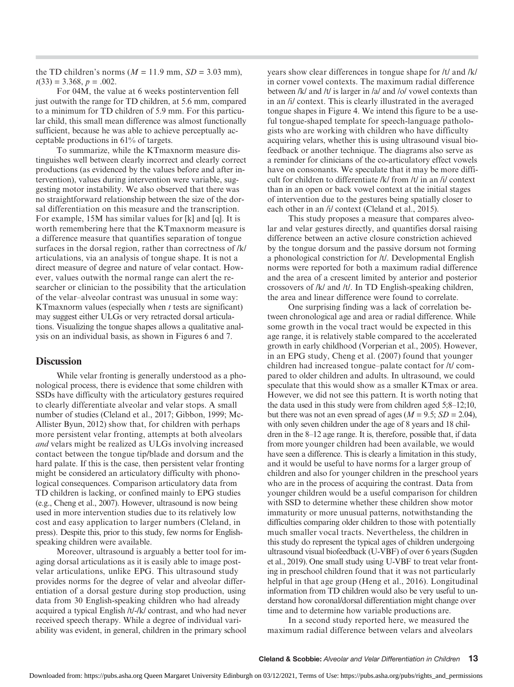the TD children's norms ( $M = 11.9$  mm,  $SD = 3.03$  mm),  $t(33) = 3.368, p = .002.$ 

For 04M, the value at 6 weeks postintervention fell just outwith the range for TD children, at 5.6 mm, compared to a minimum for TD children of 5.9 mm. For this particular child, this small mean difference was almost functionally sufficient, because he was able to achieve perceptually acceptable productions in 61% of targets.

To summarize, while the KTmaxnorm measure distinguishes well between clearly incorrect and clearly correct productions (as evidenced by the values before and after intervention), values during intervention were variable, suggesting motor instability. We also observed that there was no straightforward relationship between the size of the dorsal differentiation on this measure and the transcription. For example, 15M has similar values for [k] and [q]. It is worth remembering here that the KTmaxnorm measure is a difference measure that quantifies separation of tongue surfaces in the dorsal region, rather than correctness of /k/ articulations, via an analysis of tongue shape. It is not a direct measure of degree and nature of velar contact. However, values outwith the normal range can alert the researcher or clinician to the possibility that the articulation of the velar–alveolar contrast was unusual in some way: KTmaxnorm values (especially when  $t$  tests are significant) may suggest either ULGs or very retracted dorsal articulations. Visualizing the tongue shapes allows a qualitative analysis on an individual basis, as shown in Figures 6 and 7.

## **Discussion**

While velar fronting is generally understood as a phonological process, there is evidence that some children with SSDs have difficulty with the articulatory gestures required to clearly differentiate alveolar and velar stops. A small number of studies (Cleland et al., 2017; Gibbon, 1999; Mc-Allister Byun, 2012) show that, for children with perhaps more persistent velar fronting, attempts at both alveolars and velars might be realized as ULGs involving increased contact between the tongue tip/blade and dorsum and the hard palate. If this is the case, then persistent velar fronting might be considered an articulatory difficulty with phonological consequences. Comparison articulatory data from TD children is lacking, or confined mainly to EPG studies (e.g., Cheng et al., 2007). However, ultrasound is now being used in more intervention studies due to its relatively low cost and easy application to larger numbers (Cleland, in press). Despite this, prior to this study, few norms for Englishspeaking children were available.

Moreover, ultrasound is arguably a better tool for imaging dorsal articulations as it is easily able to image postvelar articulations, unlike EPG. This ultrasound study provides norms for the degree of velar and alveolar differentiation of a dorsal gesture during stop production, using data from 30 English-speaking children who had already acquired a typical English /t/-/k/ contrast, and who had never received speech therapy. While a degree of individual variability was evident, in general, children in the primary school

years show clear differences in tongue shape for /t/ and /k/ in corner vowel contexts. The maximum radial difference between /k/ and /t/ is larger in /a/ and /o/ vowel contexts than in an /i/ context. This is clearly illustrated in the averaged tongue shapes in Figure 4. We intend this figure to be a useful tongue-shaped template for speech-language pathologists who are working with children who have difficulty acquiring velars, whether this is using ultrasound visual biofeedback or another technique. The diagrams also serve as a reminder for clinicians of the co-articulatory effect vowels have on consonants. We speculate that it may be more difficult for children to differentiate /k/ from /t/ in an /i/ context than in an open or back vowel context at the initial stages of intervention due to the gestures being spatially closer to each other in an /i/ context (Cleland et al., 2015).

This study proposes a measure that compares alveolar and velar gestures directly, and quantifies dorsal raising difference between an active closure constriction achieved by the tongue dorsum and the passive dorsum not forming a phonological constriction for /t/. Developmental English norms were reported for both a maximum radial difference and the area of a crescent limited by anterior and posterior crossovers of /k/ and /t/. In TD English-speaking children, the area and linear difference were found to correlate.

One surprising finding was a lack of correlation between chronological age and area or radial difference. While some growth in the vocal tract would be expected in this age range, it is relatively stable compared to the accelerated growth in early childhood (Vorperian et al., 2005). However, in an EPG study, Cheng et al. (2007) found that younger children had increased tongue–palate contact for /t/ compared to older children and adults. In ultrasound, we could speculate that this would show as a smaller KTmax or area. However, we did not see this pattern. It is worth noting that the data used in this study were from children aged 5;8–12;10, but there was not an even spread of ages ( $M = 9.5$ ;  $SD = 2.04$ ), with only seven children under the age of 8 years and 18 children in the 8–12 age range. It is, therefore, possible that, if data from more younger children had been available, we would have seen a difference. This is clearly a limitation in this study, and it would be useful to have norms for a larger group of children and also for younger children in the preschool years who are in the process of acquiring the contrast. Data from younger children would be a useful comparison for children with SSD to determine whether these children show motor immaturity or more unusual patterns, notwithstanding the difficulties comparing older children to those with potentially much smaller vocal tracts. Nevertheless, the children in this study do represent the typical ages of children undergoing ultrasound visual biofeedback (U-VBF) of over 6 years (Sugden et al., 2019). One small study using U-VBF to treat velar fronting in preschool children found that it was not particularly helpful in that age group (Heng et al., 2016). Longitudinal information from TD children would also be very useful to understand how coronal/dorsal differentiation might change over time and to determine how variable productions are.

In a second study reported here, we measured the maximum radial difference between velars and alveolars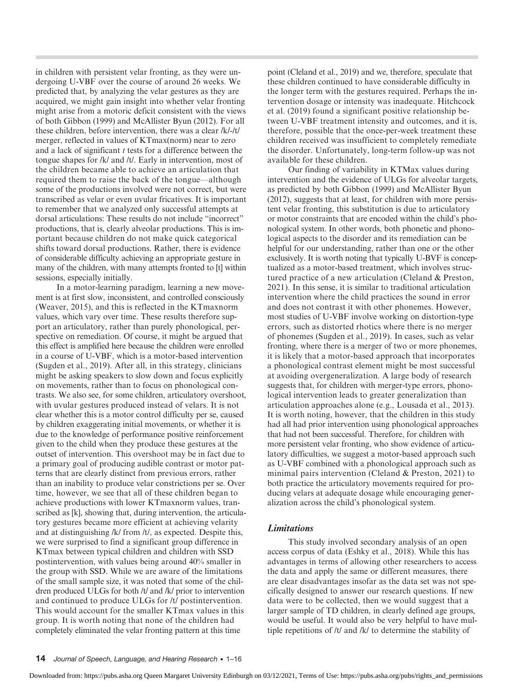in children with persistent velar fronting, as they were undergoing U-VBF over the course of around 26 weeks. We predicted that, by analyzing the velar gestures as they are acquired, we might gain insight into whether velar fronting might arise from a motoric deficit consistent with the views of both Gibbon (1999) and McAllister Byun (2012). For all these children, before intervention, there was a clear /k/-/t/ merger, reflected in values of KTmax(norm) near to zero and a lack of significant  $t$  tests for a difference between the tongue shapes for /k/ and /t/. Early in intervention, most of the children became able to achieve an articulation that required them to raise the back of the tongue—although some of the productions involved were not correct, but were transcribed as velar or even uvular fricatives. It is important to remember that we analyzed only successful attempts at dorsal articulations: These results do not include "incorrect" productions, that is, clearly alveolar productions. This is important because children do not make quick categorical shifts toward dorsal productions. Rather, there is evidence of considerable difficulty achieving an appropriate gesture in many of the children, with many attempts fronted to [t] within sessions, especially initially.

In a motor-learning paradigm, learning a new movement is at first slow, inconsistent, and controlled consciously (Weaver, 2015), and this is reflected in the KTmaxnorm values, which vary over time. These results therefore support an articulatory, rather than purely phonological, perspective on remediation. Of course, it might be argued that this effect is amplified here because the children were enrolled in a course of U-VBF, which is a motor-based intervention (Sugden et al., 2019). After all, in this strategy, clinicians might be asking speakers to slow down and focus explicitly on movements, rather than to focus on phonological contrasts. We also see, for some children, articulatory overshoot, with uvular gestures produced instead of velars. It is not clear whether this is a motor control difficulty per se, caused by children exaggerating initial movements, or whether it is due to the knowledge of performance positive reinforcement given to the child when they produce these gestures at the outset of intervention. This overshoot may be in fact due to a primary goal of producing audible contrast or motor patterns that are clearly distinct from previous errors, rather than an inability to produce velar constrictions per se. Over time, however, we see that all of these children began to achieve productions with lower KTmaxnorm values, transcribed as [k], showing that, during intervention, the articulatory gestures became more efficient at achieving velarity and at distinguishing /k/ from /t/, as expected. Despite this, we were surprised to find a significant group difference in KTmax between typical children and children with SSD postintervention, with values being around 40% smaller in the group with SSD. While we are aware of the limitations of the small sample size, it was noted that some of the children produced ULGs for both /t/ and /k/ prior to intervention and continued to produce ULGs for /t/ postintervention. This would account for the smaller KTmax values in this group. It is worth noting that none of the children had completely eliminated the velar fronting pattern at this time

point (Cleland et al., 2019) and we, therefore, speculate that these children continued to have considerable difficulty in the longer term with the gestures required. Perhaps the intervention dosage or intensity was inadequate. Hitchcock et al. (2019) found a significant positive relationship between U-VBF treatment intensity and outcomes, and it is, therefore, possible that the once-per-week treatment these children received was insufficient to completely remediate the disorder. Unfortunately, long-term follow-up was not available for these children.

Our finding of variability in KTMax values during intervention and the evidence of ULGs for alveolar targets, as predicted by both Gibbon (1999) and McAllister Byun (2012), suggests that at least, for children with more persistent velar fronting, this substitution is due to articulatory or motor constraints that are encoded within the child's phonological system. In other words, both phonetic and phonological aspects to the disorder and its remediation can be helpful for our understanding, rather than one or the other exclusively. It is worth noting that typically U-BVF is conceptualized as a motor-based treatment, which involves structured practice of a new articulation (Cleland & Preston, 2021). In this sense, it is similar to traditional articulation intervention where the child practices the sound in error and does not contrast it with other phonemes. However, most studies of U-VBF involve working on distortion-type errors, such as distorted rhotics where there is no merger of phonemes (Sugden et al., 2019). In cases, such as velar fronting, where there is a merger of two or more phonemes, it is likely that a motor-based approach that incorporates a phonological contrast element might be most successful at avoiding overgeneralization. A large body of research suggests that, for children with merger-type errors, phonological intervention leads to greater generalization than articulation approaches alone (e.g., Lousada et al., 2013). It is worth noting, however, that the children in this study had all had prior intervention using phonological approaches that had not been successful. Therefore, for children with more persistent velar fronting, who show evidence of articulatory difficulties, we suggest a motor-based approach such as U-VBF combined with a phonological approach such as minimal pairs intervention (Cleland & Preston, 2021) to both practice the articulatory movements required for producing velars at adequate dosage while encouraging generalization across the child's phonological system.

## Limitations

This study involved secondary analysis of an open access corpus of data (Eshky et al., 2018). While this has advantages in terms of allowing other researchers to access the data and apply the same or different measures, there are clear disadvantages insofar as the data set was not specifically designed to answer our research questions. If new data were to be collected, then we would suggest that a larger sample of TD children, in clearly defined age groups, would be useful. It would also be very helpful to have multiple repetitions of /t/ and /k/ to determine the stability of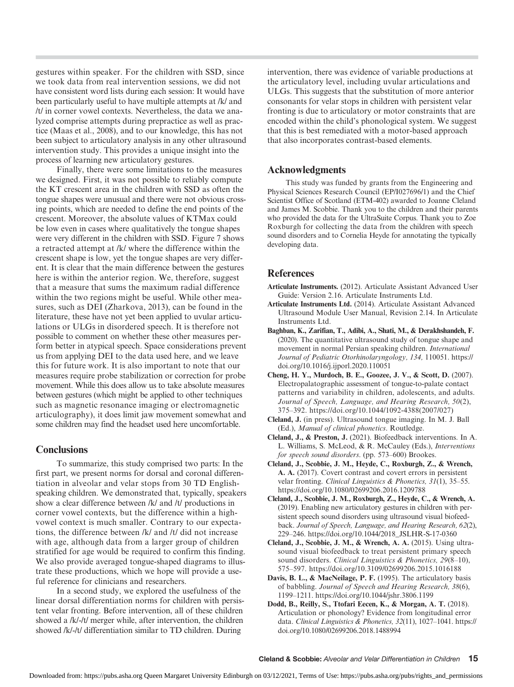gestures within speaker. For the children with SSD, since we took data from real intervention sessions, we did not have consistent word lists during each session: It would have been particularly useful to have multiple attempts at /k/ and /t/ in corner vowel contexts. Nevertheless, the data we analyzed comprise attempts during prepractice as well as practice (Maas et al., 2008), and to our knowledge, this has not been subject to articulatory analysis in any other ultrasound intervention study. This provides a unique insight into the process of learning new articulatory gestures.

Finally, there were some limitations to the measures we designed. First, it was not possible to reliably compute the KT crescent area in the children with SSD as often the tongue shapes were unusual and there were not obvious crossing points, which are needed to define the end points of the crescent. Moreover, the absolute values of KTMax could be low even in cases where qualitatively the tongue shapes were very different in the children with SSD. Figure 7 shows a retracted attempt at /k/ where the difference within the crescent shape is low, yet the tongue shapes are very different. It is clear that the main difference between the gestures here is within the anterior region. We, therefore, suggest that a measure that sums the maximum radial difference within the two regions might be useful. While other measures, such as DEI (Zharkova, 2013), can be found in the literature, these have not yet been applied to uvular articulations or ULGs in disordered speech. It is therefore not possible to comment on whether these other measures perform better in atypical speech. Space considerations prevent us from applying DEI to the data used here, and we leave this for future work. It is also important to note that our measures require probe stabilization or correction for probe movement. While this does allow us to take absolute measures between gestures (which might be applied to other techniques such as magnetic resonance imaging or electromagnetic articulography), it does limit jaw movement somewhat and some children may find the headset used here uncomfortable.

## **Conclusions**

To summarize, this study comprised two parts: In the first part, we present norms for dorsal and coronal differentiation in alveolar and velar stops from 30 TD Englishspeaking children. We demonstrated that, typically, speakers show a clear difference between /k/ and /t/ productions in corner vowel contexts, but the difference within a highvowel context is much smaller. Contrary to our expectations, the difference between /k/ and /t/ did not increase with age, although data from a larger group of children stratified for age would be required to confirm this finding. We also provide averaged tongue-shaped diagrams to illustrate these productions, which we hope will provide a useful reference for clinicians and researchers.

In a second study, we explored the usefulness of the linear dorsal differentiation norms for children with persistent velar fronting. Before intervention, all of these children showed a /k/-/t/ merger while, after intervention, the children showed /k/-/t/ differentiation similar to TD children. During

intervention, there was evidence of variable productions at the articulatory level, including uvular articulations and ULGs. This suggests that the substitution of more anterior consonants for velar stops in children with persistent velar fronting is due to articulatory or motor constraints that are encoded within the child's phonological system. We suggest that this is best remediated with a motor-based approach that also incorporates contrast-based elements.

## Acknowledgments

This study was funded by grants from the Engineering and Physical Sciences Research Council (EP/I027696/1) and the Chief Scientist Office of Scotland (ETM-402) awarded to Joanne Cleland and James M. Scobbie. Thank you to the children and their parents who provided the data for the UltraSuite Corpus. Thank you to Zoe Roxburgh for collecting the data from the children with speech sound disorders and to Cornelia Heyde for annotating the typically developing data.

## References

- Articulate Instruments. (2012). Articulate Assistant Advanced User Guide: Version 2.16. Articulate Instruments Ltd.
- Articulate Instruments Ltd. (2014). Articulate Assistant Advanced Ultrasound Module User Manual, Revision 2.14. In Articulate Instruments Ltd.
- Baghban, K., Zarifian, T., Adibi, A., Shati, M., & Derakhshandeh, F. (2020). The quantitative ultrasound study of tongue shape and movement in normal Persian speaking children. International Journal of Pediatric Otorhinolaryngology, 134, 110051. [https://](https://doi.org/10.1016/j.ijporl.2020.110051) [doi.org/10.1016/j.ijporl.2020.110051](https://doi.org/10.1016/j.ijporl.2020.110051)
- Cheng, H. Y., Murdoch, B. E., Goozee, J. V., & Scott, D. (2007). Electropalatographic assessment of tongue-to-palate contact patterns and variability in children, adolescents, and adults. Journal of Speech, Language, and Hearing Research, 50(2), 375–392. [https://doi.org/10.1044/1092-4388\(2007/027\)](https://doi.org/10.1044/1092-4388(2007/027))
- Cleland, J. (in press). Ultrasound tongue imaging. In M. J. Ball (Ed.), Manual of clinical phonetics. Routledge.
- Cleland, J., & Preston, J. (2021). Biofeedback interventions. In A. L. Williams, S. McLeod, & R. McCauley (Eds.), Interventions for speech sound disorders. (pp. 573–600) Brookes.
- Cleland, J., Scobbie, J. M., Heyde, C., Roxburgh, Z., & Wrench, A. A. (2017). Covert contrast and covert errors in persistent velar fronting. Clinical Linguistics & Phonetics, 31(1), 35–55. <https://doi.org/10.1080/02699206.2016.1209788>
- Cleland, J., Scobbie, J. M., Roxburgh, Z., Heyde, C., & Wrench, A. (2019). Enabling new articulatory gestures in children with persistent speech sound disorders using ultrasound visual biofeedback. Journal of Speech, Language, and Hearing Research, 62(2), 229–246. [https://doi.org/10.1044/2018\\_JSLHR-S-17-0360](https://doi.org/10.1044/2018_JSLHR-S-17-0360)
- Cleland, J., Scobbie, J. M., & Wrench, A. A. (2015). Using ultrasound visual biofeedback to treat persistent primary speech sound disorders. Clinical Linguistics & Phonetics, 29(8–10), 575–597.<https://doi.org/10.3109/02699206.2015.1016188>
- Davis, B. L., & MacNeilage, P. F. (1995). The articulatory basis of babbling. Journal of Speech and Hearing Research, 38(6), 1199–1211.<https://doi.org/10.1044/jshr.3806.1199>
- Dodd, B., Reilly, S., Ttofari Eecen, K., & Morgan, A. T. (2018). Articulation or phonology? Evidence from longitudinal error data. Clinical Linguistics & Phonetics, 32(11), 1027–1041. [https://](https://doi.org/10.1080/02699206.2018.1488994) [doi.org/10.1080/02699206.2018.1488994](https://doi.org/10.1080/02699206.2018.1488994)